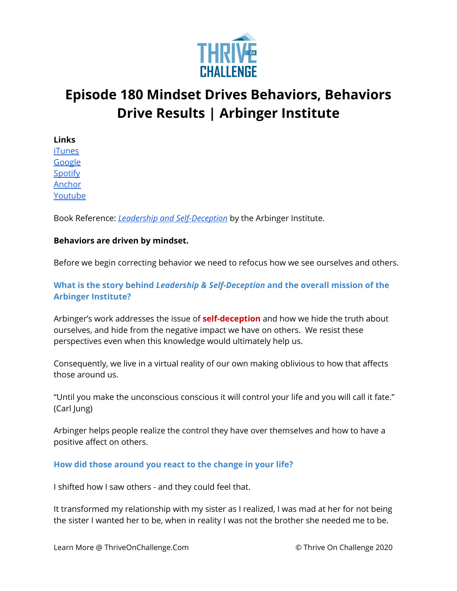

# **Episode 180 Mindset Drives Behaviors, Behaviors Drive Results | Arbinger Institute**

**Links** [iTunes](https://podcasts.apple.com/us/podcast/coaching-culture/id1286560192) [Google](https://podcasts.google.com/feed/aHR0cHM6Ly9mZWVkcy5zb3VuZGNsb3VkLmNvbS91c2Vycy9zb3VuZGNsb3VkOnVzZXJzOjQxMDQyNzcvc291bmRzLnJzcw?ved=2ahUKEwiSpYquy9vqAhVbQUEAHSAkC88Q4aUDegQIARAC) [Spotify](https://open.spotify.com/show/336Hs8udk8s0yXuK3BzSOq) [Anchor](https://anchor.fm/coachingculturepodcast) [Youtube](https://www.youtube.com/channel/UC3vIljCBzwHcPyVIx9kiHvw)

Book Reference: *Leadership and [Self-Deception](https://www.amazon.com/Leadership-Self-Deception-Getting-Out-Box/dp/1523097809/ref=asc_df_1523097809/?tag=hyprod-20&linkCode=df0&hvadid=312143020546&hvpos=&hvnetw=g&hvrand=904293820828403606&hvpone=&hvptwo=&hvqmt=&hvdev=c&hvdvcmdl=&hvlocint=&hvlocphy=9018521&hvtargid=pla-716574656072&psc=1)* by the Arbinger Institute.

# **Behaviors are driven by mindset.**

Before we begin correcting behavior we need to refocus how we see ourselves and others.

# **What is the story behind** *Leadership & Self-Deception* **and the overall mission of the Arbinger Institute?**

Arbinger's work addresses the issue of **self-deception** and how we hide the truth about ourselves, and hide from the negative impact we have on others. We resist these perspectives even when this knowledge would ultimately help us.

Consequently, we live in a virtual reality of our own making oblivious to how that affects those around us.

"Until you make the unconscious conscious it will control your life and you will call it fate." (Carl Jung)

Arbinger helps people realize the control they have over themselves and how to have a positive affect on others.

### **How did those around you react to the change in your life?**

I shifted how I saw others - and they could feel that.

It transformed my relationship with my sister as I realized, I was mad at her for not being the sister I wanted her to be, when in reality I was not the brother she needed me to be.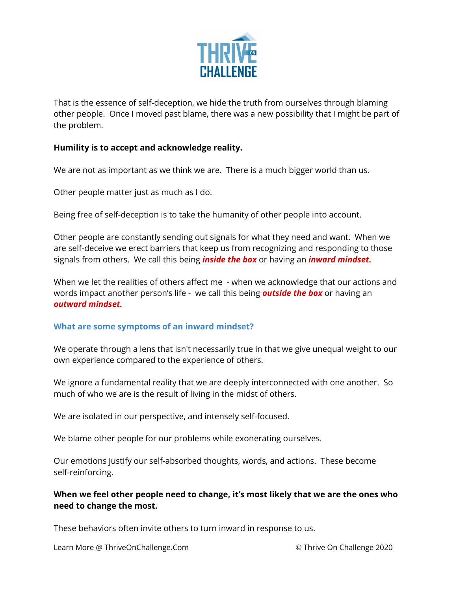

That is the essence of self-deception, we hide the truth from ourselves through blaming other people. Once I moved past blame, there was a new possibility that I might be part of the problem.

### **Humility is to accept and acknowledge reality.**

We are not as important as we think we are. There is a much bigger world than us.

Other people matter just as much as I do.

Being free of self-deception is to take the humanity of other people into account.

Other people are constantly sending out signals for what they need and want. When we are self-deceive we erect barriers that keep us from recognizing and responding to those signals from others. We call this being *inside the box* or having an *inward mindset.*

When we let the realities of others affect me - when we acknowledge that our actions and words impact another person's life - we call this being *outside the box* or having an *outward mindset.*

# **What are some symptoms of an inward mindset?**

We operate through a lens that isn't necessarily true in that we give unequal weight to our own experience compared to the experience of others.

We ignore a fundamental reality that we are deeply interconnected with one another. So much of who we are is the result of living in the midst of others.

We are isolated in our perspective, and intensely self-focused.

We blame other people for our problems while exonerating ourselves.

Our emotions justify our self-absorbed thoughts, words, and actions. These become self-reinforcing.

# **When we feel other people need to change, it's most likely that we are the ones who need to change the most.**

These behaviors often invite others to turn inward in response to us.

Learn More @ ThriveOnChallenge.Com © Thrive On Challenge 2020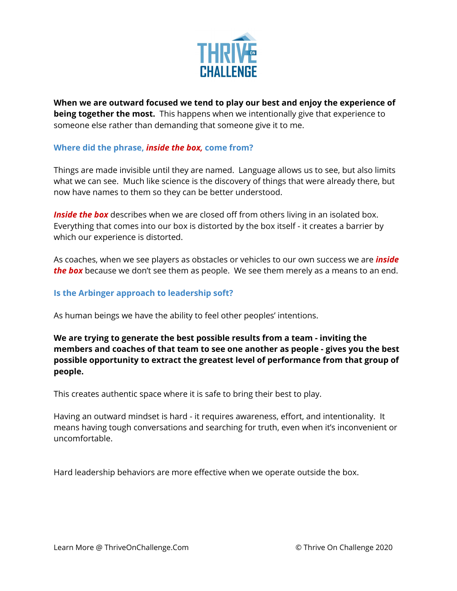

**When we are outward focused we tend to play our best and enjoy the experience of being together the most.** This happens when we intentionally give that experience to someone else rather than demanding that someone give it to me.

# **Where did the phrase,** *inside the box,* **come from?**

Things are made invisible until they are named. Language allows us to see, but also limits what we can see. Much like science is the discovery of things that were already there, but now have names to them so they can be better understood.

*Inside the box* describes when we are closed off from others living in an isolated box. Everything that comes into our box is distorted by the box itself - it creates a barrier by which our experience is distorted.

As coaches, when we see players as obstacles or vehicles to our own success we are *inside the box* because we don't see them as people. We see them merely as a means to an end.

### **Is the Arbinger approach to leadership soft?**

As human beings we have the ability to feel other peoples' intentions.

**We are trying to generate the best possible results from a team - inviting the members and coaches of that team to see one another as people - gives you the best possible opportunity to extract the greatest level of performance from that group of people.**

This creates authentic space where it is safe to bring their best to play.

Having an outward mindset is hard - it requires awareness, effort, and intentionality. It means having tough conversations and searching for truth, even when it's inconvenient or uncomfortable.

Hard leadership behaviors are more effective when we operate outside the box.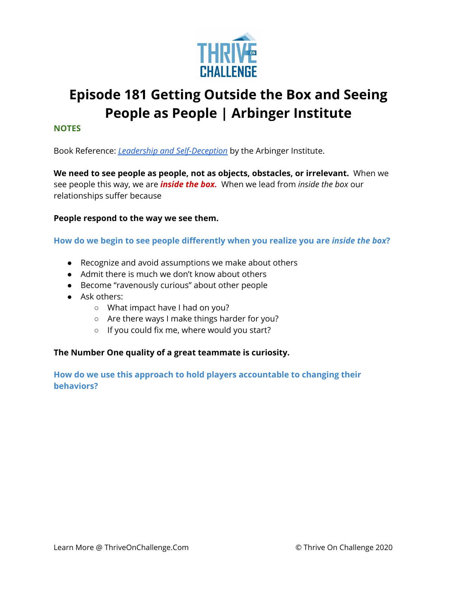

# **Episode 181 Getting Outside the Box and Seeing People as People | Arbinger Institute**

#### **NOTES**

Book Reference: *Leadership and [Self-Deception](https://www.amazon.com/Leadership-Self-Deception-Getting-Out-Box/dp/1523097809/ref=asc_df_1523097809/?tag=hyprod-20&linkCode=df0&hvadid=312143020546&hvpos=&hvnetw=g&hvrand=904293820828403606&hvpone=&hvptwo=&hvqmt=&hvdev=c&hvdvcmdl=&hvlocint=&hvlocphy=9018521&hvtargid=pla-716574656072&psc=1)* by the Arbinger Institute.

**We need to see people as people, not as objects, obstacles, or irrelevant.** When we see people this way, we are *inside the box.* When we lead from *inside the box* our relationships suffer because

#### **People respond to the way we see them.**

### **How do we begin to see people differently when you realize you are** *inside the box***?**

- Recognize and avoid assumptions we make about others
- Admit there is much we don't know about others
- Become "ravenously curious" about other people
- Ask others:
	- What impact have I had on you?
	- Are there ways I make things harder for you?
	- If you could fix me, where would you start?

### **The Number One quality of a great teammate is curiosity.**

**How do we use this approach to hold players accountable to changing their behaviors?**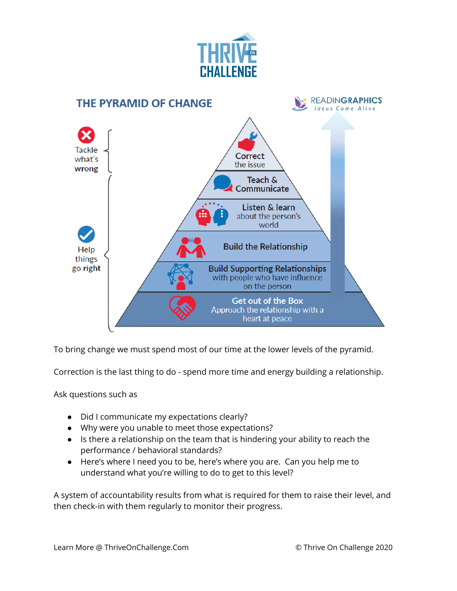



To bring change we must spend most of our time at the lower levels of the pyramid.

Correction is the last thing to do - spend more time and energy building a relationship.

Ask questions such as

- Did I communicate my expectations clearly?
- Why were you unable to meet those expectations?
- Is there a relationship on the team that is hindering your ability to reach the performance / behavioral standards?
- Here's where I need you to be, here's where you are. Can you help me to understand what you're willing to do to get to this level?

A system of accountability results from what is required for them to raise their level, and then check-in with them regularly to monitor their progress.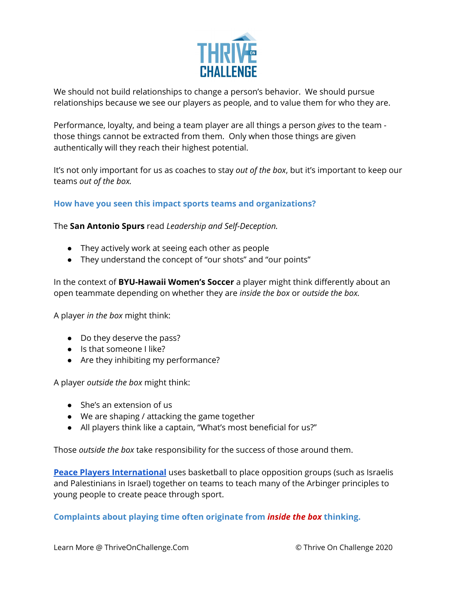

We should not build relationships to change a person's behavior. We should pursue relationships because we see our players as people, and to value them for who they are.

Performance, loyalty, and being a team player are all things a person *gives* to the team those things cannot be extracted from them. Only when those things are given authentically will they reach their highest potential.

It's not only important for us as coaches to stay *out of the box*, but it's important to keep our teams *out of the box.*

# **How have you seen this impact sports teams and organizations?**

The **San Antonio Spurs** read *Leadership and Self-Deception.*

- They actively work at seeing each other as people
- They understand the concept of "our shots" and "our points"

In the context of **BYU-Hawaii Women's Soccer** a player might think differently about an open teammate depending on whether they are *inside the box* or *outside the box.*

A player *in the box* might think:

- Do they deserve the pass?
- Is that someone I like?
- Are they inhibiting my performance?

A player *outside the box* might think:

- She's an extension of us
- We are shaping / attacking the game together
- All players think like a captain, "What's most beneficial for us?"

Those *outside the box* take responsibility for the success of those around them.

**Peace Players [International](https://www.peaceplayers.org/)** uses basketball to place opposition groups (such as Israelis and Palestinians in Israel) together on teams to teach many of the Arbinger principles to young people to create peace through sport.

**Complaints about playing time often originate from** *inside the box* **thinking.**